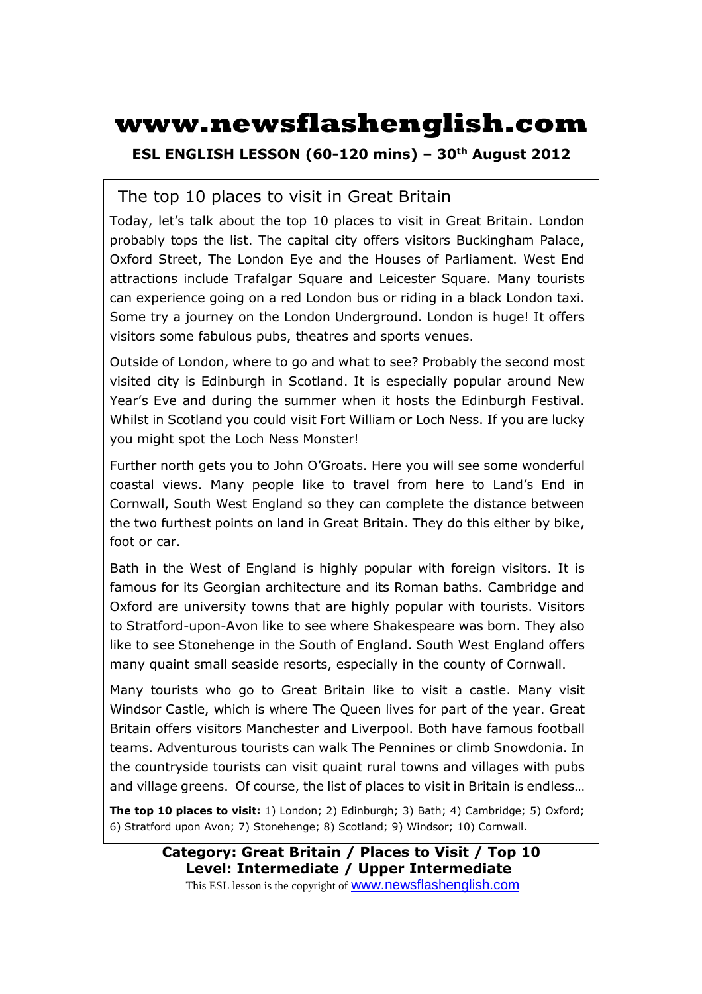# **www.newsflashenglish.com**

**ESL ENGLISH LESSON (60-120 mins) – 30th August 2012** 

#### The top 10 places to visit in Great Britain

Today, let's talk about the top 10 places to visit in Great Britain. London probably tops the list. The capital city offers visitors Buckingham Palace, Oxford Street, The London Eye and the Houses of Parliament. West End attractions include Trafalgar Square and Leicester Square. Many tourists can experience going on a red London bus or riding in a black London taxi. Some try a journey on the London Underground. London is huge! It offers visitors some fabulous pubs, theatres and sports venues.

Outside of London, where to go and what to see? Probably the second most visited city is Edinburgh in Scotland. It is especially popular around New Year's Eve and during the summer when it hosts the Edinburgh Festival. Whilst in Scotland you could visit Fort William or Loch Ness. If you are lucky you might spot the Loch Ness Monster!

Further north gets you to John O'Groats. Here you will see some wonderful coastal views. Many people like to travel from here to Land's End in Cornwall, South West England so they can complete the distance between the two furthest points on land in Great Britain. They do this either by bike, foot or car.

Bath in the West of England is highly popular with foreign visitors. It is famous for its Georgian architecture and its Roman baths. Cambridge and Oxford are university towns that are highly popular with tourists. Visitors to Stratford-upon-Avon like to see where Shakespeare was born. They also like to see Stonehenge in the South of England. South West England offers many quaint small seaside resorts, especially in the county of Cornwall.

Many tourists who go to Great Britain like to visit a castle. Many visit Windsor Castle, which is where The Queen lives for part of the year. Great Britain offers visitors Manchester and Liverpool. Both have famous football teams. Adventurous tourists can walk The Pennines or climb Snowdonia. In the countryside tourists can visit quaint rural towns and villages with pubs and village greens. Of course, the list of places to visit in Britain is endless…

**The top 10 places to visit:** 1) London; 2) Edinburgh; 3) Bath; 4) Cambridge; 5) Oxford; 6) Stratford upon Avon; 7) Stonehenge; 8) Scotland; 9) Windsor; 10) Cornwall.

> **Category: Great Britain / Places to Visit / Top 10 Level: Intermediate / Upper Intermediate** This ESL lesson is the copyright of www.newsflashenglish.com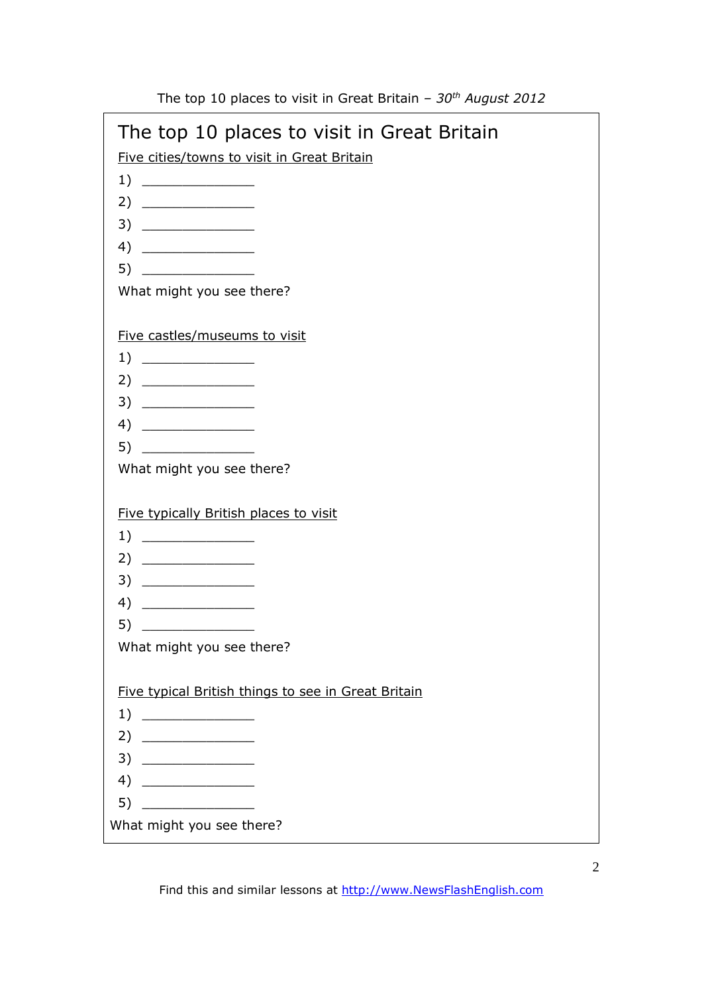| The top 10 places to visit in Great Britain<br>Five cities/towns to visit in Great Britain<br>4)<br>What might you see there?<br>Five castles/museums to visit<br>4)<br>What might you see there?<br>Five typically British places to visit |
|---------------------------------------------------------------------------------------------------------------------------------------------------------------------------------------------------------------------------------------------|
|                                                                                                                                                                                                                                             |
|                                                                                                                                                                                                                                             |
|                                                                                                                                                                                                                                             |
|                                                                                                                                                                                                                                             |
|                                                                                                                                                                                                                                             |
|                                                                                                                                                                                                                                             |
|                                                                                                                                                                                                                                             |
|                                                                                                                                                                                                                                             |
|                                                                                                                                                                                                                                             |
|                                                                                                                                                                                                                                             |
|                                                                                                                                                                                                                                             |
|                                                                                                                                                                                                                                             |
|                                                                                                                                                                                                                                             |
|                                                                                                                                                                                                                                             |
|                                                                                                                                                                                                                                             |
|                                                                                                                                                                                                                                             |
|                                                                                                                                                                                                                                             |
|                                                                                                                                                                                                                                             |
|                                                                                                                                                                                                                                             |
|                                                                                                                                                                                                                                             |
|                                                                                                                                                                                                                                             |
|                                                                                                                                                                                                                                             |
|                                                                                                                                                                                                                                             |
| What might you see there?                                                                                                                                                                                                                   |
|                                                                                                                                                                                                                                             |
| Five typical British things to see in Great Britain                                                                                                                                                                                         |
|                                                                                                                                                                                                                                             |
|                                                                                                                                                                                                                                             |
|                                                                                                                                                                                                                                             |
|                                                                                                                                                                                                                                             |
| 4)                                                                                                                                                                                                                                          |
|                                                                                                                                                                                                                                             |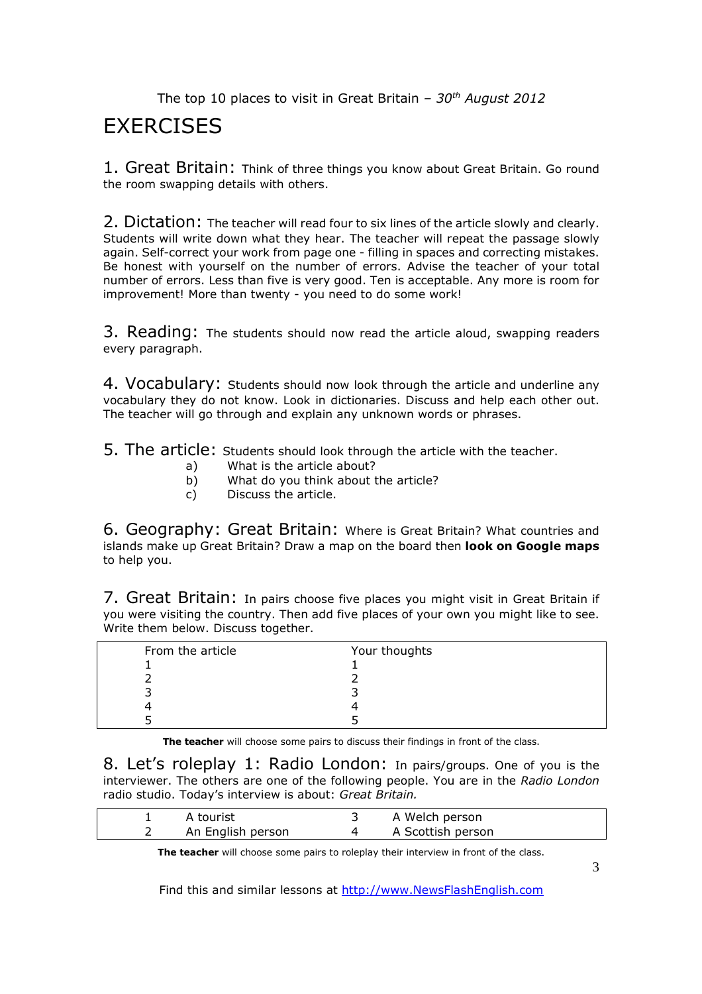### **EXERCISES**

1. Great Britain: Think of three things you know about Great Britain. Go round the room swapping details with others.

2. Dictation: The teacher will read four to six lines of the article slowly and clearly. Students will write down what they hear. The teacher will repeat the passage slowly again. Self-correct your work from page one - filling in spaces and correcting mistakes. Be honest with yourself on the number of errors. Advise the teacher of your total number of errors. Less than five is very good. Ten is acceptable. Any more is room for improvement! More than twenty - you need to do some work!

3. Reading: The students should now read the article aloud, swapping readers every paragraph.

4. Vocabulary: Students should now look through the article and underline any vocabulary they do not know. Look in dictionaries. Discuss and help each other out. The teacher will go through and explain any unknown words or phrases.

5. The article: Students should look through the article with the teacher.

- a) What is the article about?
- b) What do you think about the article?
- c) Discuss the article.

6. Geography: Great Britain: Where is Great Britain? What countries and islands make up Great Britain? Draw a map on the board then **look on Google maps** to help you.

7. Great Britain: In pairs choose five places you might visit in Great Britain if you were visiting the country. Then add five places of your own you might like to see. Write them below. Discuss together.

| From the article | Your thoughts |
|------------------|---------------|
|                  |               |
|                  |               |
|                  |               |
|                  |               |
|                  |               |

**The teacher** will choose some pairs to discuss their findings in front of the class.

8. Let's roleplay 1: Radio London: In pairs/groups. One of you is the interviewer. The others are one of the following people. You are in the *Radio London*  radio studio. Today's interview is about: *Great Britain.* 

| A tourist         | A Welch person    |  |
|-------------------|-------------------|--|
| An English person | A Scottish person |  |

**The teacher** will choose some pairs to roleplay their interview in front of the class.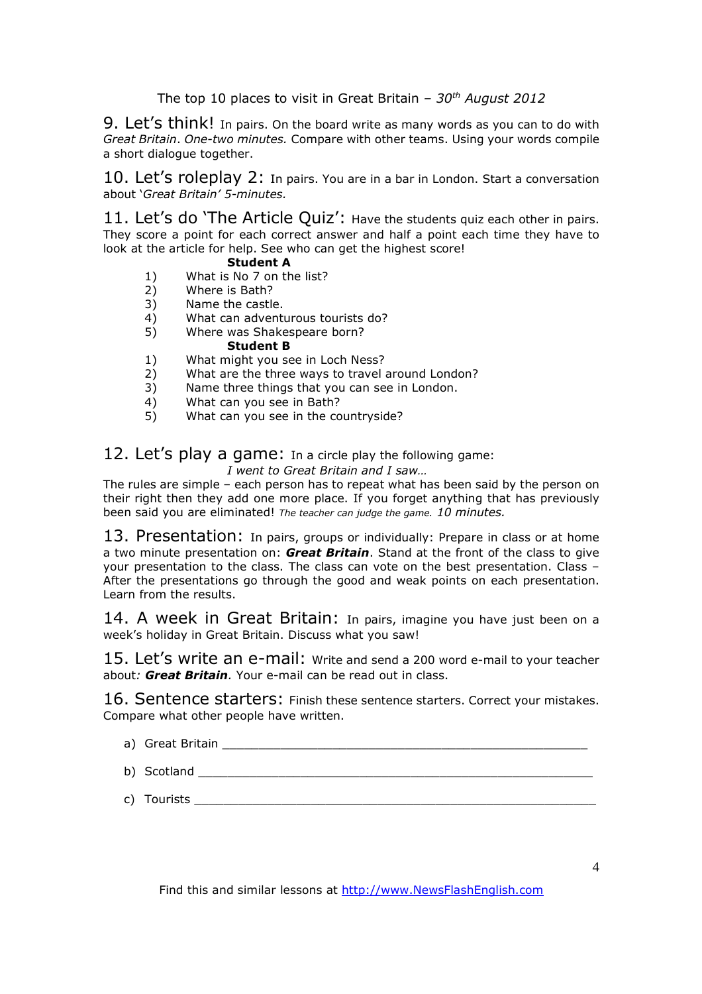9. Let's think! In pairs. On the board write as many words as you can to do with *Great Britain*. *One-two minutes.* Compare with other teams. Using your words compile a short dialogue together.

10. Let's roleplay 2: In pairs. You are in a bar in London. Start a conversation about '*Great Britain' 5-minutes.* 

11. Let's do 'The Article Quiz': Have the students quiz each other in pairs. They score a point for each correct answer and half a point each time they have to look at the article for help. See who can get the highest score!

#### **Student A**

- 1) What is No 7 on the list?<br>2) Where is Bath?
- Where is Bath?
- 3) Name the castle.
- 4) What can adventurous tourists do?<br>5) Where was Shakespeare born?
- Where was Shakespeare born?

#### **Student B**

- 1) What might you see in Loch Ness?
- 2) What are the three ways to travel around London?
- 3) Name three things that you can see in London.
- 4) What can you see in Bath?
- 5) What can you see in the countryside?

12. Let's play a game: In a circle play the following game:

*I went to Great Britain and I saw…*

The rules are simple – each person has to repeat what has been said by the person on their right then they add one more place. If you forget anything that has previously been said you are eliminated! *The teacher can judge the game. 10 minutes.*

13. Presentation: In pairs, groups or individually: Prepare in class or at home a two minute presentation on: *Great Britain*. Stand at the front of the class to give your presentation to the class. The class can vote on the best presentation. Class – After the presentations go through the good and weak points on each presentation. Learn from the results.

14. A week in Great Britain: In pairs, imagine you have just been on a week's holiday in Great Britain. Discuss what you saw!

15. Let's write an e-mail: Write and send a 200 word e-mail to your teacher about*: Great Britain.* Your e-mail can be read out in class.

16. Sentence starters: Finish these sentence starters. Correct your mistakes. Compare what other people have written.

- a) Great Britain **And Allie** and Allie and Allie and Allie and Allie and Allie and Allie and Allie and Allie and A
- b) Scotland \_\_\_\_\_\_\_\_\_\_\_\_\_\_\_\_\_\_\_\_\_\_\_\_\_\_\_\_\_\_\_\_\_\_\_\_\_\_\_\_\_\_\_\_\_\_\_\_\_\_\_\_\_\_
- c) Tourists \_\_\_\_\_\_\_\_\_\_\_\_\_\_\_\_\_\_\_\_\_\_\_\_\_\_\_\_\_\_\_\_\_\_\_\_\_\_\_\_\_\_\_\_\_\_\_\_\_\_\_\_\_\_\_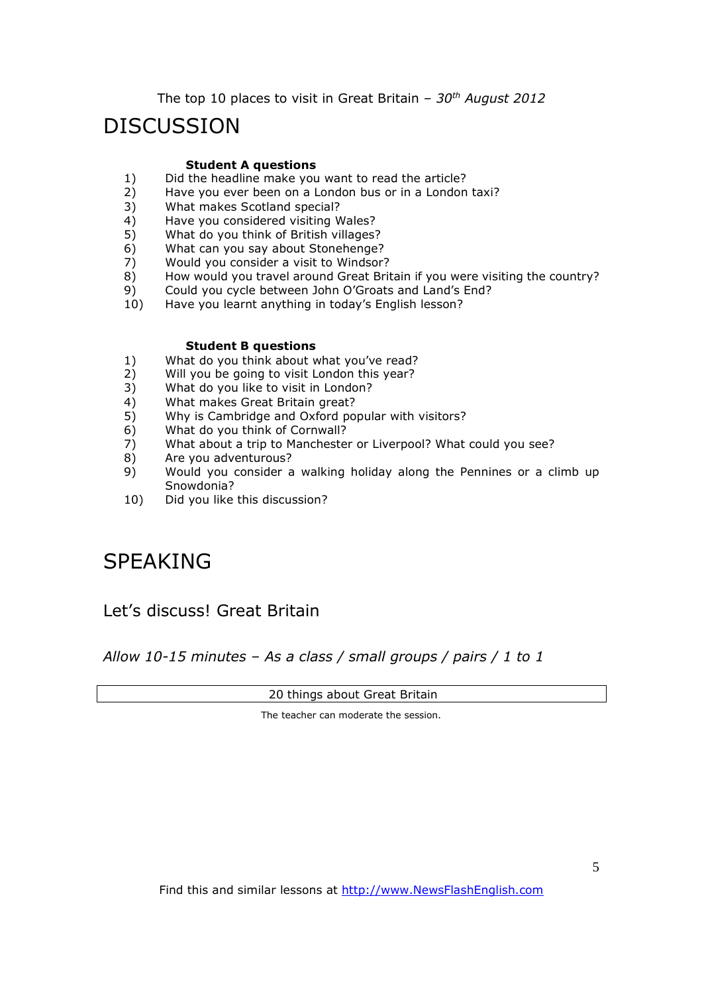#### DISCUSSION

#### **Student A questions**

- 1) Did the headline make you want to read the article?<br>2) Have you ever been on a London bus or in a London
- Have you ever been on a London bus or in a London taxi?
- 3) What makes Scotland special?
- 4) Have you considered visiting Wales?
- 5) What do you think of British villages?
- 6) What can you say about Stonehenge?
- 7) Would you consider a visit to Windsor?
- 8) How would you travel around Great Britain if you were visiting the country?
- 9) Could you cycle between John O'Groats and Land's End?
- 10) Have you learnt anything in today's English lesson?

#### **Student B questions**

- 1) What do you think about what you've read?
- 2) Will you be going to visit London this year?
- 3) What do you like to visit in London?
- 4) What makes Great Britain great?
- 5) Why is Cambridge and Oxford popular with visitors?
- 6) What do you think of Cornwall?
- 7) What about a trip to Manchester or Liverpool? What could you see?<br>8) Are you adventurous?
- Are you adventurous?
- 9) Would you consider a walking holiday along the Pennines or a climb up Snowdonia?
- 10) Did you like this discussion?

### SPEAKING

#### Let's discuss! Great Britain

*Allow 10-15 minutes – As a class / small groups / pairs / 1 to 1*

20 things about Great Britain

The teacher can moderate the session.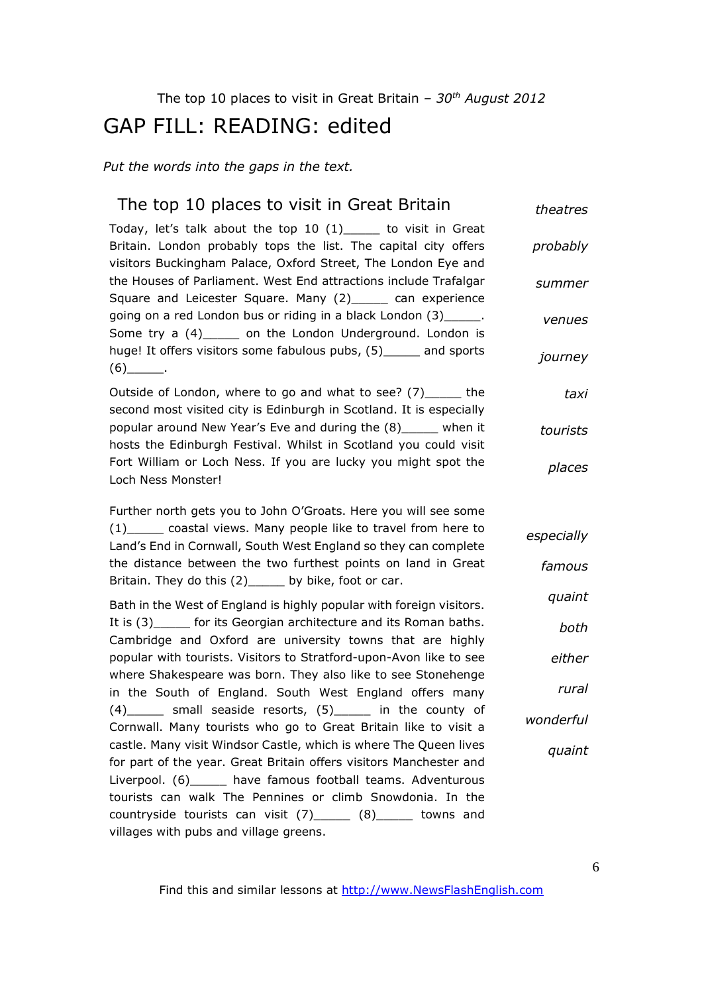## GAP FILL: READING: edited

*Put the words into the gaps in the text.* 

| The top 10 places to visit in Great Britain                                                                                                                                                        | theatres   |
|----------------------------------------------------------------------------------------------------------------------------------------------------------------------------------------------------|------------|
| Today, let's talk about the top 10 (1) _____ to visit in Great<br>Britain. London probably tops the list. The capital city offers<br>visitors Buckingham Palace, Oxford Street, The London Eye and | probably   |
| the Houses of Parliament. West End attractions include Trafalgar<br>Square and Leicester Square. Many (2) _____ can experience                                                                     | summer     |
| going on a red London bus or riding in a black London (3)______.<br>Some try a (4)______ on the London Underground. London is                                                                      | venues     |
| huge! It offers visitors some fabulous pubs, (5) _____ and sports<br>$(6)$ __________.                                                                                                             | journey    |
| Outside of London, where to go and what to see? (7) ______ the<br>second most visited city is Edinburgh in Scotland. It is especially                                                              | taxi       |
| popular around New Year's Eve and during the (8)_____ when it<br>hosts the Edinburgh Festival. Whilst in Scotland you could visit                                                                  | tourists   |
| Fort William or Loch Ness. If you are lucky you might spot the<br>Loch Ness Monster!                                                                                                               | places     |
| Further north gets you to John O'Groats. Here you will see some                                                                                                                                    |            |
| (1) coastal views. Many people like to travel from here to<br>Land's End in Cornwall, South West England so they can complete                                                                      | especially |
| the distance between the two furthest points on land in Great<br>Britain. They do this (2)_____ by bike, foot or car.                                                                              | famous     |
| Bath in the West of England is highly popular with foreign visitors.                                                                                                                               | quaint     |
| It is (3) ______ for its Georgian architecture and its Roman baths.<br>Cambridge and Oxford are university towns that are highly                                                                   | both       |
| popular with tourists. Visitors to Stratford-upon-Avon like to see<br>where Shakespeare was born. They also like to see Stonehenge                                                                 | either     |
| in the South of England. South West England offers many                                                                                                                                            | rural      |
| $(4)$ small seaside resorts, $(5)$ in the county of<br>Cornwall. Many tourists who go to Great Britain like to visit a                                                                             | wonderful  |
| castle. Many visit Windsor Castle, which is where The Queen lives<br>for part of the year. Great Britain offers visitors Manchester and                                                            | quaint     |
| Liverpool. (6)______ have famous football teams. Adventurous<br>tourists can walk The Pennines or climb Snowdonia. In the                                                                          |            |
| countryside tourists can visit $(7)$ $(8)$ $(8)$ towns and                                                                                                                                         |            |
| villages with pubs and village greens.                                                                                                                                                             |            |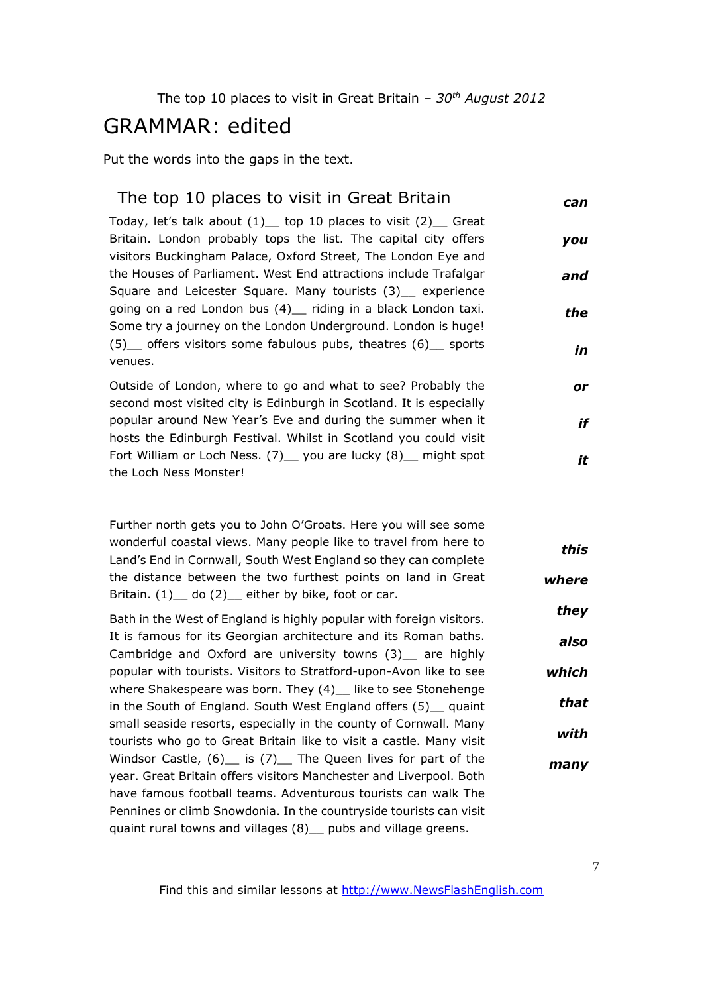#### GRAMMAR: edited

Put the words into the gaps in the text.

| The top 10 places to visit in Great Britain                                                                                         | can |
|-------------------------------------------------------------------------------------------------------------------------------------|-----|
| Today, let's talk about $(1)$ top 10 places to visit $(2)$ Great                                                                    |     |
| Britain. London probably tops the list. The capital city offers<br>visitors Buckingham Palace, Oxford Street, The London Eye and    | you |
| the Houses of Parliament. West End attractions include Trafalgar<br>Square and Leicester Square. Many tourists (3) experience       | and |
| going on a red London bus (4) _ riding in a black London taxi.<br>Some try a journey on the London Underground. London is huge!     | the |
| (5) offers visitors some fabulous pubs, theatres (6) sports<br>venues.                                                              | in  |
| Outside of London, where to go and what to see? Probably the<br>second most visited city is Edinburgh in Scotland. It is especially | or  |
| popular around New Year's Eve and during the summer when it<br>hosts the Edinburgh Festival. Whilst in Scotland you could visit     | if  |
| Fort William or Loch Ness. (7) __ you are lucky (8) __ might spot                                                                   | it  |
| the Loch Ness Monster!                                                                                                              |     |

Further north gets you to John O'Groats. Here you will see some wonderful coastal views. Many people like to travel from here to Land's End in Cornwall, South West England so they can complete the distance between the two furthest points on land in Great Britain.  $(1)$  do  $(2)$  either by bike, foot or car. *this where*

Bath in the West of England is highly popular with foreign visitors. It is famous for its Georgian architecture and its Roman baths. Cambridge and Oxford are university towns (3) are highly popular with tourists. Visitors to Stratford-upon-Avon like to see where Shakespeare was born. They (4) like to see Stonehenge in the South of England. South West England offers (5) guaint small seaside resorts, especially in the county of Cornwall. Many tourists who go to Great Britain like to visit a castle. Many visit Windsor Castle,  $(6)$  is  $(7)$  The Queen lives for part of the year. Great Britain offers visitors Manchester and Liverpool. Both have famous football teams. Adventurous tourists can walk The Pennines or climb Snowdonia. In the countryside tourists can visit quaint rural towns and villages (8) \_ pubs and village greens. *they also which that with many*